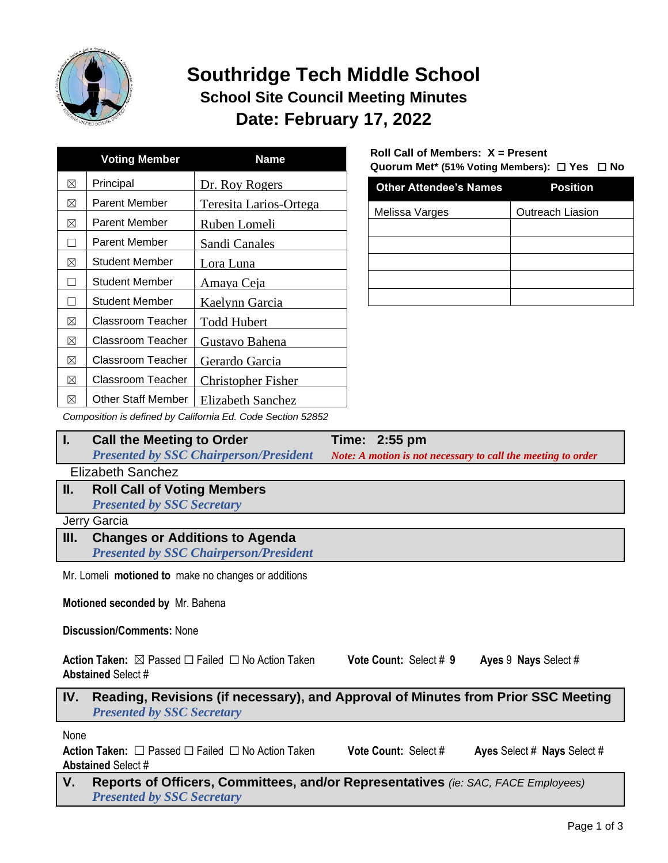

# **Southridge Tech Middle School School Site Council Meeting Minutes Date: February 17, 2022**

|   | <b>Voting Member</b>     | Name                   |
|---|--------------------------|------------------------|
| ⊠ | Principal                | Dr. Roy Rogers         |
| ⊠ | <b>Parent Member</b>     | Teresita Larios-Ortega |
| ⊠ | Parent Member            | Ruben Lomeli           |
| П | Parent Member            | Sandi Canales          |
| ⊠ | <b>Student Member</b>    | Lora Luna              |
|   | Student Member           | Amaya Ceja             |
|   | Student Member           | Kaelynn Garcia         |
| ⊠ | Classroom Teacher        | <b>Todd Hubert</b>     |
| ⊠ | Classroom Teacher        | Gustavo Bahena         |
| ⊠ | Classroom Teacher        | Gerardo Garcia         |
| ⊠ | <b>Classroom Teacher</b> | Christopher Fisher     |
| ⊠ | Other Staff Member       | Elizabeth Sanchez      |

### **Roll Call of Members: X = Present Quorum Met\* (51% Voting Members):** ☐ **Yes** ☐ **No**

| <b>Other Attendee's Names</b> | <b>Position</b>  |
|-------------------------------|------------------|
| Melissa Varges                | Outreach Liasion |
|                               |                  |
|                               |                  |
|                               |                  |
|                               |                  |
|                               |                  |

*Composition is defined by California Ed. Code Section 52852*

| <b>Call the Meeting to Order</b>              | Time: 2:55 pm                                                |
|-----------------------------------------------|--------------------------------------------------------------|
| <b>Presented by SSC Chairperson/President</b> | Note: A motion is not necessary to call the meeting to order |
|                                               |                                                              |

Elizabeth Sanchez

**II. Roll Call of Voting Members** *Presented by SSC Secretary*

Jerry Garcia

**III. Changes or Additions to Agenda** *Presented by SSC Chairperson/President*

Mr. Lomeli **motioned to** make no changes or additions

**Motioned seconded by** Mr. Bahena

**Discussion/Comments:** None

**Action Taken:** ☒ Passed ☐ Failed ☐ No Action Taken **Vote Count:** Select # **9 Ayes** 9 **Nays** Select # **Abstained** Select #

### **IV. Reading, Revisions (if necessary), and Approval of Minutes from Prior SSC Meeting** *Presented by SSC Secretary*

None

**Action Taken:** ☐ Passed ☐ Failed ☐ No Action Taken **Vote Count:** Select # **Ayes** Select # **Nays** Select # **Abstained** Select #

**V. Reports of Officers, Committees, and/or Representatives** *(ie: SAC, FACE Employees) Presented by SSC Secretary*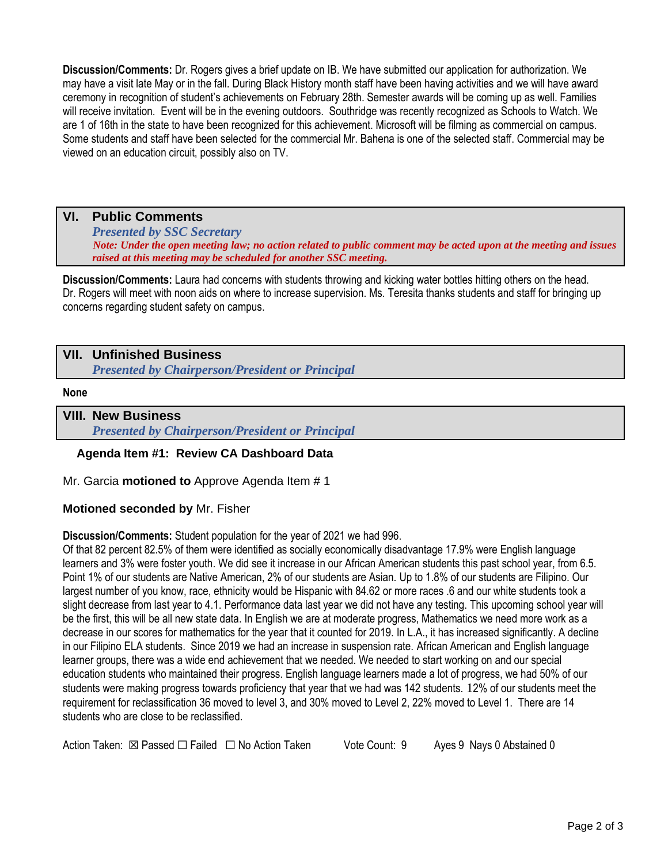**Discussion/Comments:** Dr. Rogers gives a brief update on IB. We have submitted our application for authorization. We may have a visit late May or in the fall. During Black History month staff have been having activities and we will have award ceremony in recognition of student's achievements on February 28th. Semester awards will be coming up as well. Families will receive invitation. Event will be in the evening outdoors. Southridge was recently recognized as Schools to Watch. We are 1 of 16th in the state to have been recognized for this achievement. Microsoft will be filming as commercial on campus. Some students and staff have been selected for the commercial Mr. Bahena is one of the selected staff. Commercial may be viewed on an education circuit, possibly also on TV.

### **VI. Public Comments**

*Presented by SSC Secretary Note: Under the open meeting law; no action related to public comment may be acted upon at the meeting and issues raised at this meeting may be scheduled for another SSC meeting.*

**Discussion/Comments:** Laura had concerns with students throwing and kicking water bottles hitting others on the head. Dr. Rogers will meet with noon aids on where to increase supervision. Ms. Teresita thanks students and staff for bringing up concerns regarding student safety on campus.

## **VII. Unfinished Business**

*Presented by Chairperson/President or Principal*

#### **None**

# **VIII. New Business**

*Presented by Chairperson/President or Principal*

### **Agenda Item #1: Review CA Dashboard Data**

Mr. Garcia **motioned to** Approve Agenda Item # 1

### **Motioned seconded by** Mr. Fisher

**Discussion/Comments:** Student population for the year of 2021 we had 996.

Of that 82 percent 82.5% of them were identified as socially economically disadvantage 17.9% were English language learners and 3% were foster youth. We did see it increase in our African American students this past school year, from 6.5. Point 1% of our students are Native American, 2% of our students are Asian. Up to 1.8% of our students are Filipino. Our largest number of you know, race, ethnicity would be Hispanic with 84.62 or more races .6 and our white students took a slight decrease from last year to 4.1. Performance data last year we did not have any testing. This upcoming school year will be the first, this will be all new state data. In English we are at moderate progress, Mathematics we need more work as a decrease in our scores for mathematics for the year that it counted for 2019. In L.A., it has increased significantly. A decline in our Filipino ELA students. Since 2019 we had an increase in suspension rate. African American and English language learner groups, there was a wide end achievement that we needed. We needed to start working on and our special education students who maintained their progress. English language learners made a lot of progress, we had 50% of our students were making progress towards proficiency that year that we had was 142 students. 12% of our students meet the requirement for reclassification 36 moved to level 3, and 30% moved to Level 2, 22% moved to Level 1. There are 14 students who are close to be reclassified.

Action Taken: ⊠ Passed □ Failed □ No Action Taken Vote Count: 9 Ayes 9 Nays 0 Abstained 0